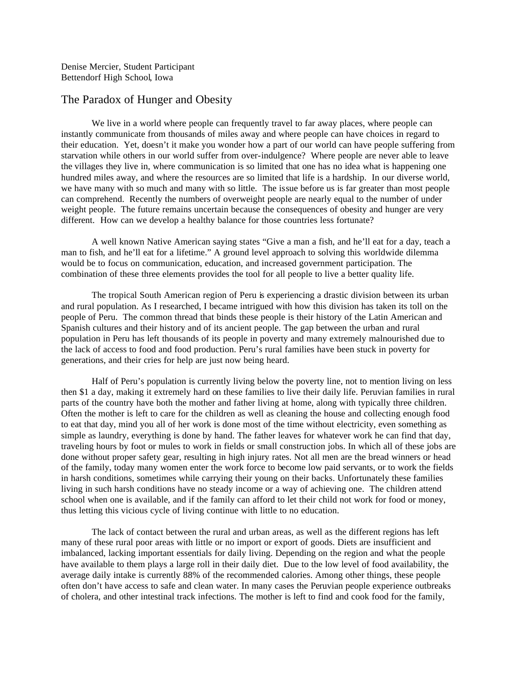Denise Mercier, Student Participant Bettendorf High School, Iowa

## The Paradox of Hunger and Obesity

We live in a world where people can frequently travel to far away places, where people can instantly communicate from thousands of miles away and where people can have choices in regard to their education. Yet, doesn't it make you wonder how a part of our world can have people suffering from starvation while others in our world suffer from over-indulgence? Where people are never able to leave the villages they live in, where communication is so limited that one has no idea what is happening one hundred miles away, and where the resources are so limited that life is a hardship. In our diverse world, we have many with so much and many with so little. The issue before us is far greater than most people can comprehend. Recently the numbers of overweight people are nearly equal to the number of under weight people. The future remains uncertain because the consequences of obesity and hunger are very different. How can we develop a healthy balance for those countries less fortunate?

A well known Native American saying states "Give a man a fish, and he'll eat for a day, teach a man to fish, and he'll eat for a lifetime." A ground level approach to solving this worldwide dilemma would be to focus on communication, education, and increased government participation. The combination of these three elements provides the tool for all people to live a better quality life.

The tropical South American region of Peru is experiencing a drastic division between its urban and rural population. As I researched, I became intrigued with how this division has taken its toll on the people of Peru. The common thread that binds these people is their history of the Latin American and Spanish cultures and their history and of its ancient people. The gap between the urban and rural population in Peru has left thousands of its people in poverty and many extremely malnourished due to the lack of access to food and food production. Peru's rural families have been stuck in poverty for generations, and their cries for help are just now being heard.

Half of Peru's population is currently living below the poverty line, not to mention living on less then \$1 a day, making it extremely hard on these families to live their daily life. Peruvian families in rural parts of the country have both the mother and father living at home, along with typically three children. Often the mother is left to care for the children as well as cleaning the house and collecting enough food to eat that day, mind you all of her work is done most of the time without electricity, even something as simple as laundry, everything is done by hand. The father leaves for whatever work he can find that day, traveling hours by foot or mules to work in fields or small construction jobs. In which all of these jobs are done without proper safety gear, resulting in high injury rates. Not all men are the bread winners or head of the family, today many women enter the work force to become low paid servants, or to work the fields in harsh conditions, sometimes while carrying their young on their backs. Unfortunately these families living in such harsh conditions have no steady income or a way of achieving one. The children attend school when one is available, and if the family can afford to let their child not work for food or money, thus letting this vicious cycle of living continue with little to no education.

The lack of contact between the rural and urban areas, as well as the different regions has left many of these rural poor areas with little or no import or export of goods. Diets are insufficient and imbalanced, lacking important essentials for daily living. Depending on the region and what the people have available to them plays a large roll in their daily diet. Due to the low level of food availability, the average daily intake is currently 88% of the recommended calories. Among other things, these people often don't have access to safe and clean water. In many cases the Peruvian people experience outbreaks of cholera, and other intestinal track infections. The mother is left to find and cook food for the family,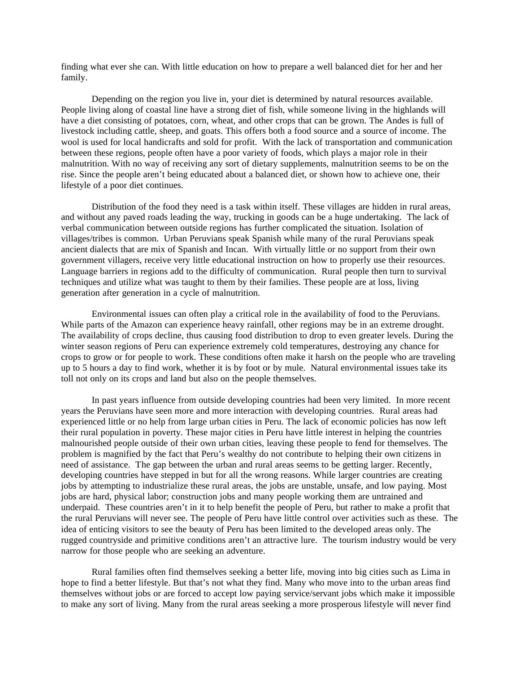finding what ever she can. With little education on how to prepare a well balanced diet for her and her family.

Depending on the region you live in, your diet is determined by natural resources available. People living along of coastal line have a strong diet of fish, while someone living in the highlands will have a diet consisting of potatoes, corn, wheat, and other crops that can be grown. The Andes is full of livestock including cattle, sheep, and goats. This offers both a food source and a source of income. The wool is used for local handicrafts and sold for profit. With the lack of transportation and communication between these regions, people often have a poor variety of foods, which plays a major role in their malnutrition. With no way of receiving any sort of dietary supplements, malnutrition seems to be on the rise. Since the people aren't being educated about a balanced diet, or shown how to achieve one, their lifestyle of a poor diet continues.

Distribution of the food they need is a task within itself. These villages are hidden in rural areas, and without any paved roads leading the way, trucking in goods can be a huge undertaking. The lack of verbal communication between outside regions has further complicated the situation. Isolation of villages/tribes is common. Urban Peruvians speak Spanish while many of the rural Peruvians speak ancient dialects that are mix of Spanish and Incan. With virtually little or no support from their own government villagers, receive very little educational instruction on how to properly use their resources. Language barriers in regions add to the difficulty of communication. Rural people then turn to survival techniques and utilize what was taught to them by their families. These people are at loss, living generation after generation in a cycle of malnutrition.

Environmental issues can often play a critical role in the availability of food to the Peruvians. While parts of the Amazon can experience heavy rainfall, other regions may be in an extreme drought. The availability of crops decline, thus causing food distribution to drop to even greater levels. During the winter season regions of Peru can experience extremely cold temperatures, destroying any chance for crops to grow or for people to work. These conditions often make it harsh on the people who are traveling up to 5 hours a day to find work, whether it is by foot or by mule. Natural environmental issues take its toll not only on its crops and land but also on the people themselves.

In past years influence from outside developing countries had been very limited. In more recent years the Peruvians have seen more and more interaction with developing countries. Rural areas had experienced little or no help from large urban cities in Peru. The lack of economic policies has now left their rural population in poverty. These major cities in Peru have little interest in helping the countries malnourished people outside of their own urban cities, leaving these people to fend for themselves. The problem is magnified by the fact that Peru's wealthy do not contribute to helping their own citizens in need of assistance. The gap between the urban and rural areas seems to be getting larger. Recently, developing countries have stepped in but for all the wrong reasons. While larger countries are creating jobs by attempting to industrialize these rural areas, the jobs are unstable, unsafe, and low paying. Most jobs are hard, physical labor; construction jobs and many people working them are untrained and underpaid. These countries aren't in it to help benefit the people of Peru, but rather to make a profit that the rural Peruvians will never see. The people of Peru have little control over activities such as these. The idea of enticing visitors to see the beauty of Peru has been limited to the developed areas only. The rugged countryside and primitive conditions aren't an attractive lure. The tourism industry would be very narrow for those people who are seeking an adventure.

Rural families often find themselves seeking a better life, moving into big cities such as Lima in hope to find a better lifestyle. But that's not what they find. Many who move into to the urban areas find themselves without jobs or are forced to accept low paying service/servant jobs which make it impossible to make any sort of living. Many from the rural areas seeking a more prosperous lifestyle will never find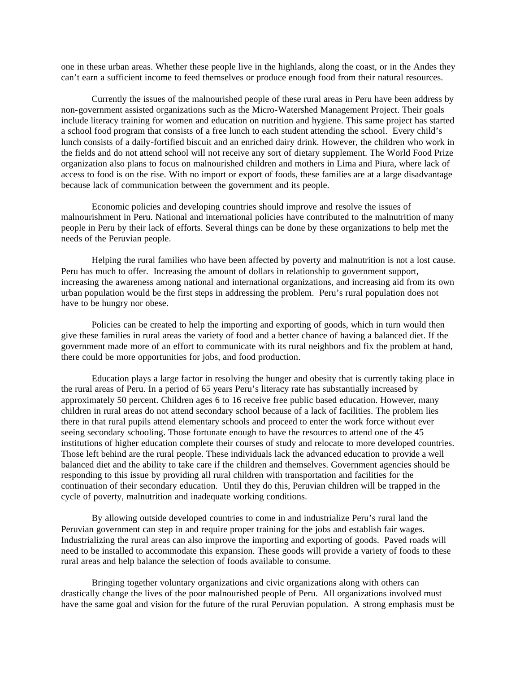one in these urban areas. Whether these people live in the highlands, along the coast, or in the Andes they can't earn a sufficient income to feed themselves or produce enough food from their natural resources.

Currently the issues of the malnourished people of these rural areas in Peru have been address by non-government assisted organizations such as the Micro-Watershed Management Project. Their goals include literacy training for women and education on nutrition and hygiene. This same project has started a school food program that consists of a free lunch to each student attending the school. Every child's lunch consists of a daily-fortified biscuit and an enriched dairy drink. However, the children who work in the fields and do not attend school will not receive any sort of dietary supplement. The World Food Prize organization also plans to focus on malnourished children and mothers in Lima and Piura, where lack of access to food is on the rise. With no import or export of foods, these families are at a large disadvantage because lack of communication between the government and its people.

Economic policies and developing countries should improve and resolve the issues of malnourishment in Peru. National and international policies have contributed to the malnutrition of many people in Peru by their lack of efforts. Several things can be done by these organizations to help met the needs of the Peruvian people.

Helping the rural families who have been affected by poverty and malnutrition is not a lost cause. Peru has much to offer. Increasing the amount of dollars in relationship to government support, increasing the awareness among national and international organizations, and increasing aid from its own urban population would be the first steps in addressing the problem. Peru's rural population does not have to be hungry nor obese.

Policies can be created to help the importing and exporting of goods, which in turn would then give these families in rural areas the variety of food and a better chance of having a balanced diet. If the government made more of an effort to communicate with its rural neighbors and fix the problem at hand, there could be more opportunities for jobs, and food production.

Education plays a large factor in resolving the hunger and obesity that is currently taking place in the rural areas of Peru. In a period of 65 years Peru's literacy rate has substantially increased by approximately 50 percent. Children ages 6 to 16 receive free public based education. However, many children in rural areas do not attend secondary school because of a lack of facilities. The problem lies there in that rural pupils attend elementary schools and proceed to enter the work force without ever seeing secondary schooling. Those fortunate enough to have the resources to attend one of the 45 institutions of higher education complete their courses of study and relocate to more developed countries. Those left behind are the rural people. These individuals lack the advanced education to provide a well balanced diet and the ability to take care if the children and themselves. Government agencies should be responding to this issue by providing all rural children with transportation and facilities for the continuation of their secondary education. Until they do this, Peruvian children will be trapped in the cycle of poverty, malnutrition and inadequate working conditions.

By allowing outside developed countries to come in and industrialize Peru's rural land the Peruvian government can step in and require proper training for the jobs and establish fair wages. Industrializing the rural areas can also improve the importing and exporting of goods. Paved roads will need to be installed to accommodate this expansion. These goods will provide a variety of foods to these rural areas and help balance the selection of foods available to consume.

Bringing together voluntary organizations and civic organizations along with others can drastically change the lives of the poor malnourished people of Peru. All organizations involved must have the same goal and vision for the future of the rural Peruvian population. A strong emphasis must be